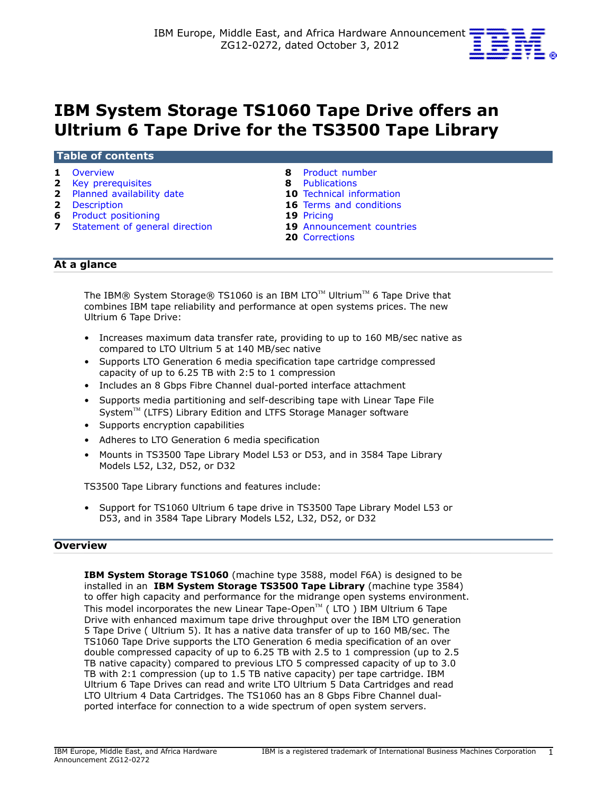

# **IBM System Storage TS1060 Tape Drive offers an Ultrium 6 Tape Drive for the TS3500 Tape Library**

#### **Table of contents**

- 
- **2** [Key prerequisites](#page-1-0) **8** [Publications](#page-7-1)
- **2** [Planned availability date](#page-1-1) **10** [Technical information](#page-9-0)
- 
- **6** Product positioning
- **7** [Statement of general direction](#page-6-0) **19** [Announcement countries](#page-18-1)
- **1** [Overview](#page-0-0) **8** [Product number](#page-7-0) 
	-
	-
- **2** [Description](#page-1-2) **16** Terms and conditions<br> **19** Pricing **19** Pricing
	-
	-
	- **20** [Corrections](#page-19-0)

## **At a glance**

The IBM® System Storage® TS1060 is an IBM LTO<sup>™</sup> Ultrium<sup>™</sup> 6 Tape Drive that combines IBM tape reliability and performance at open systems prices. The new Ultrium 6 Tape Drive:

- Increases maximum data transfer rate, providing to up to 160 MB/sec native as compared to LTO Ultrium 5 at 140 MB/sec native
- Supports LTO Generation 6 media specification tape cartridge compressed capacity of up to 6.25 TB with 2:5 to 1 compression
- Includes an 8 Gbps Fibre Channel dual-ported interface attachment
- Supports media partitioning and self-describing tape with Linear Tape File System™ (LTFS) Library Edition and LTFS Storage Manager software
- Supports encryption capabilities
- Adheres to LTO Generation 6 media specification
- Mounts in TS3500 Tape Library Model L53 or D53, and in 3584 Tape Library Models L52, L32, D52, or D32

TS3500 Tape Library functions and features include:

• Support for TS1060 Ultrium 6 tape drive in TS3500 Tape Library Model L53 or D53, and in 3584 Tape Library Models L52, L32, D52, or D32

## <span id="page-0-0"></span>**Overview**

**IBM System Storage TS1060** (machine type 3588, model F6A) is designed to be installed in an **IBM System Storage TS3500 Tape Library** (machine type 3584) to offer high capacity and performance for the midrange open systems environment. This model incorporates the new Linear Tape-Open<sup>TM</sup> (LTO ) IBM Ultrium 6 Tape Drive with enhanced maximum tape drive throughput over the IBM LTO generation 5 Tape Drive ( Ultrium 5). It has a native data transfer of up to 160 MB/sec. The TS1060 Tape Drive supports the LTO Generation 6 media specification of an over double compressed capacity of up to 6.25 TB with 2.5 to 1 compression (up to 2.5 TB native capacity) compared to previous LTO 5 compressed capacity of up to 3.0 TB with 2:1 compression (up to 1.5 TB native capacity) per tape cartridge. IBM Ultrium 6 Tape Drives can read and write LTO Ultrium 5 Data Cartridges and read LTO Ultrium 4 Data Cartridges. The TS1060 has an 8 Gbps Fibre Channel dualported interface for connection to a wide spectrum of open system servers.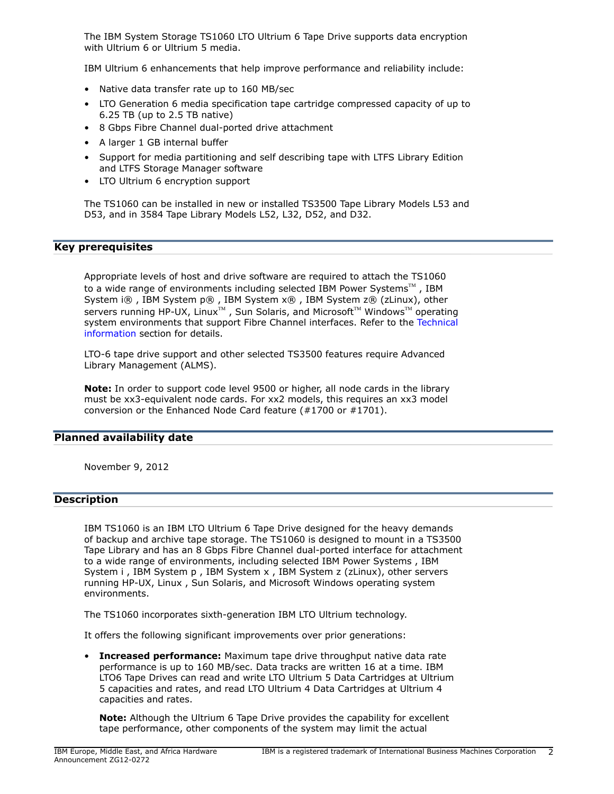The IBM System Storage TS1060 LTO Ultrium 6 Tape Drive supports data encryption with Ultrium 6 or Ultrium 5 media.

IBM Ultrium 6 enhancements that help improve performance and reliability include:

- Native data transfer rate up to 160 MB/sec
- LTO Generation 6 media specification tape cartridge compressed capacity of up to 6.25 TB (up to 2.5 TB native)
- 8 Gbps Fibre Channel dual-ported drive attachment
- A larger 1 GB internal buffer
- Support for media partitioning and self describing tape with LTFS Library Edition and LTFS Storage Manager software
- LTO Ultrium 6 encryption support

The TS1060 can be installed in new or installed TS3500 Tape Library Models L53 and D53, and in 3584 Tape Library Models L52, L32, D52, and D32.

# <span id="page-1-0"></span>**Key prerequisites**

Appropriate levels of host and drive software are required to attach the TS1060 to a wide range of environments including selected IBM Power Systems<sup>TM</sup> , IBM System i® , IBM System p® , IBM System x® , IBM System z® (zLinux), other servers running HP-UX, Linux<sup>TM</sup>, Sun Solaris, and Microsoft<sup>TM</sup> Windows<sup>TM</sup> operating system environments that support Fibre Channel interfaces. Refer to the [Technical](#page-9-0) [information](#page-9-0) section for details.

LTO-6 tape drive support and other selected TS3500 features require Advanced Library Management (ALMS).

**Note:** In order to support code level 9500 or higher, all node cards in the library must be xx3-equivalent node cards. For xx2 models, this requires an xx3 model conversion or the Enhanced Node Card feature (#1700 or #1701).

## <span id="page-1-1"></span>**Planned availability date**

November 9, 2012

## <span id="page-1-2"></span>**Description**

IBM TS1060 is an IBM LTO Ultrium 6 Tape Drive designed for the heavy demands of backup and archive tape storage. The TS1060 is designed to mount in a TS3500 Tape Library and has an 8 Gbps Fibre Channel dual-ported interface for attachment to a wide range of environments, including selected IBM Power Systems , IBM System i , IBM System p , IBM System x , IBM System z (zLinux), other servers running HP-UX, Linux , Sun Solaris, and Microsoft Windows operating system environments.

The TS1060 incorporates sixth-generation IBM LTO Ultrium technology.

It offers the following significant improvements over prior generations:

• **Increased performance:** Maximum tape drive throughput native data rate performance is up to 160 MB/sec. Data tracks are written 16 at a time. IBM LTO6 Tape Drives can read and write LTO Ultrium 5 Data Cartridges at Ultrium 5 capacities and rates, and read LTO Ultrium 4 Data Cartridges at Ultrium 4 capacities and rates.

**Note:** Although the Ultrium 6 Tape Drive provides the capability for excellent tape performance, other components of the system may limit the actual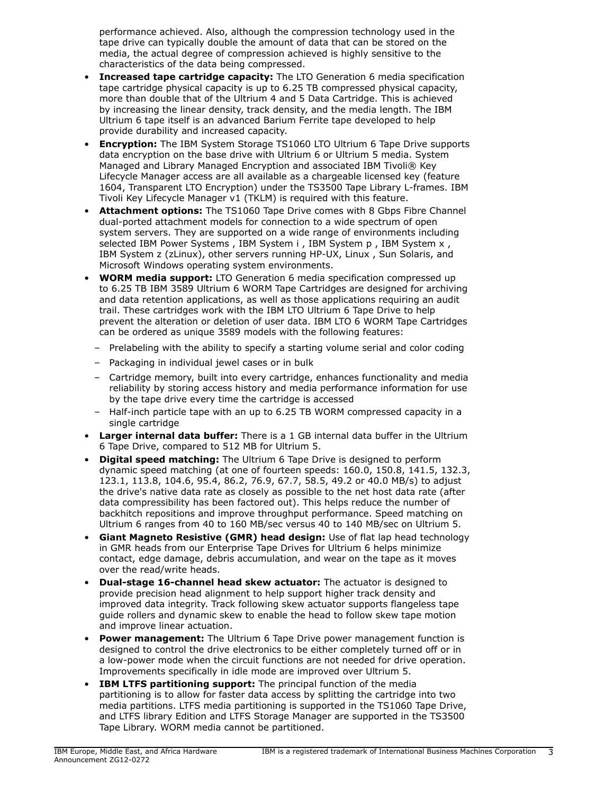performance achieved. Also, although the compression technology used in the tape drive can typically double the amount of data that can be stored on the media, the actual degree of compression achieved is highly sensitive to the characteristics of the data being compressed.

- **Increased tape cartridge capacity:** The LTO Generation 6 media specification tape cartridge physical capacity is up to 6.25 TB compressed physical capacity, more than double that of the Ultrium 4 and 5 Data Cartridge. This is achieved by increasing the linear density, track density, and the media length. The IBM Ultrium 6 tape itself is an advanced Barium Ferrite tape developed to help provide durability and increased capacity.
- **Encryption:** The IBM System Storage TS1060 LTO Ultrium 6 Tape Drive supports data encryption on the base drive with Ultrium 6 or Ultrium 5 media. System Managed and Library Managed Encryption and associated IBM Tivoli® Key Lifecycle Manager access are all available as a chargeable licensed key (feature 1604, Transparent LTO Encryption) under the TS3500 Tape Library L-frames. IBM Tivoli Key Lifecycle Manager v1 (TKLM) is required with this feature.
- **Attachment options:** The TS1060 Tape Drive comes with 8 Gbps Fibre Channel dual-ported attachment models for connection to a wide spectrum of open system servers. They are supported on a wide range of environments including selected IBM Power Systems, IBM System i, IBM System p, IBM System x, IBM System z (zLinux), other servers running HP-UX, Linux , Sun Solaris, and Microsoft Windows operating system environments.
- **WORM media support:** LTO Generation 6 media specification compressed up to 6.25 TB IBM 3589 Ultrium 6 WORM Tape Cartridges are designed for archiving and data retention applications, as well as those applications requiring an audit trail. These cartridges work with the IBM LTO Ultrium 6 Tape Drive to help prevent the alteration or deletion of user data. IBM LTO 6 WORM Tape Cartridges can be ordered as unique 3589 models with the following features:
	- Prelabeling with the ability to specify a starting volume serial and color coding
	- Packaging in individual jewel cases or in bulk
	- Cartridge memory, built into every cartridge, enhances functionality and media reliability by storing access history and media performance information for use by the tape drive every time the cartridge is accessed
	- Half-inch particle tape with an up to 6.25 TB WORM compressed capacity in a single cartridge
- **Larger internal data buffer:** There is a 1 GB internal data buffer in the Ultrium 6 Tape Drive, compared to 512 MB for Ultrium 5.
- **Digital speed matching:** The Ultrium 6 Tape Drive is designed to perform dynamic speed matching (at one of fourteen speeds: 160.0, 150.8, 141.5, 132.3, 123.1, 113.8, 104.6, 95.4, 86.2, 76.9, 67.7, 58.5, 49.2 or 40.0 MB/s) to adjust the drive's native data rate as closely as possible to the net host data rate (after data compressibility has been factored out). This helps reduce the number of backhitch repositions and improve throughput performance. Speed matching on Ultrium 6 ranges from 40 to 160 MB/sec versus 40 to 140 MB/sec on Ultrium 5.
- **Giant Magneto Resistive (GMR) head design:** Use of flat lap head technology in GMR heads from our Enterprise Tape Drives for Ultrium 6 helps minimize contact, edge damage, debris accumulation, and wear on the tape as it moves over the read/write heads.
- **Dual-stage 16-channel head skew actuator:** The actuator is designed to provide precision head alignment to help support higher track density and improved data integrity. Track following skew actuator supports flangeless tape guide rollers and dynamic skew to enable the head to follow skew tape motion and improve linear actuation.
- **Power management:** The Ultrium 6 Tape Drive power management function is designed to control the drive electronics to be either completely turned off or in a low-power mode when the circuit functions are not needed for drive operation. Improvements specifically in idle mode are improved over Ultrium 5.
- **IBM LTFS partitioning support:** The principal function of the media partitioning is to allow for faster data access by splitting the cartridge into two media partitions. LTFS media partitioning is supported in the TS1060 Tape Drive, and LTFS library Edition and LTFS Storage Manager are supported in the TS3500 Tape Library. WORM media cannot be partitioned.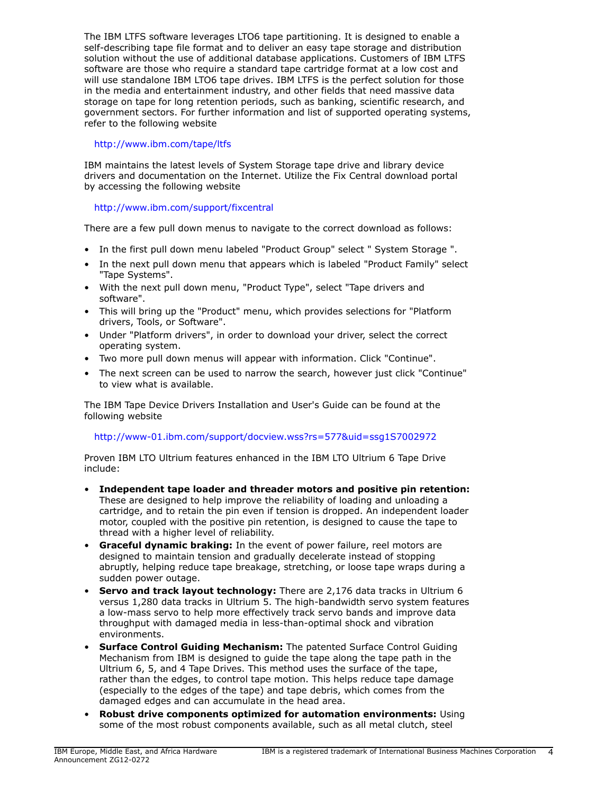The IBM LTFS software leverages LTO6 tape partitioning. It is designed to enable a self-describing tape file format and to deliver an easy tape storage and distribution solution without the use of additional database applications. Customers of IBM LTFS software are those who require a standard tape cartridge format at a low cost and will use standalone IBM LTO6 tape drives. IBM LTFS is the perfect solution for those in the media and entertainment industry, and other fields that need massive data storage on tape for long retention periods, such as banking, scientific research, and government sectors. For further information and list of supported operating systems, refer to the following website

# <http://www.ibm.com/tape/ltfs>

IBM maintains the latest levels of System Storage tape drive and library device drivers and documentation on the Internet. Utilize the Fix Central download portal by accessing the following website

# <http://www.ibm.com/support/fixcentral>

There are a few pull down menus to navigate to the correct download as follows:

- In the first pull down menu labeled "Product Group" select " System Storage ".
- In the next pull down menu that appears which is labeled "Product Family" select "Tape Systems".
- With the next pull down menu, "Product Type", select "Tape drivers and software".
- This will bring up the "Product" menu, which provides selections for "Platform drivers, Tools, or Software".
- Under "Platform drivers", in order to download your driver, select the correct operating system.
- Two more pull down menus will appear with information. Click "Continue".
- The next screen can be used to narrow the search, however just click "Continue" to view what is available.

The IBM Tape Device Drivers Installation and User's Guide can be found at the following website

# <http://www-01.ibm.com/support/docview.wss?rs=577&uid=ssg1S7002972>

Proven IBM LTO Ultrium features enhanced in the IBM LTO Ultrium 6 Tape Drive include:

- **Independent tape loader and threader motors and positive pin retention:** These are designed to help improve the reliability of loading and unloading a cartridge, and to retain the pin even if tension is dropped. An independent loader motor, coupled with the positive pin retention, is designed to cause the tape to thread with a higher level of reliability.
- **Graceful dynamic braking:** In the event of power failure, reel motors are designed to maintain tension and gradually decelerate instead of stopping abruptly, helping reduce tape breakage, stretching, or loose tape wraps during a sudden power outage.
- **Servo and track layout technology:** There are 2,176 data tracks in Ultrium 6 versus 1,280 data tracks in Ultrium 5. The high-bandwidth servo system features a low-mass servo to help more effectively track servo bands and improve data throughput with damaged media in less-than-optimal shock and vibration environments.
- **Surface Control Guiding Mechanism:** The patented Surface Control Guiding Mechanism from IBM is designed to guide the tape along the tape path in the Ultrium 6, 5, and 4 Tape Drives. This method uses the surface of the tape, rather than the edges, to control tape motion. This helps reduce tape damage (especially to the edges of the tape) and tape debris, which comes from the damaged edges and can accumulate in the head area.
- **Robust drive components optimized for automation environments:** Using some of the most robust components available, such as all metal clutch, steel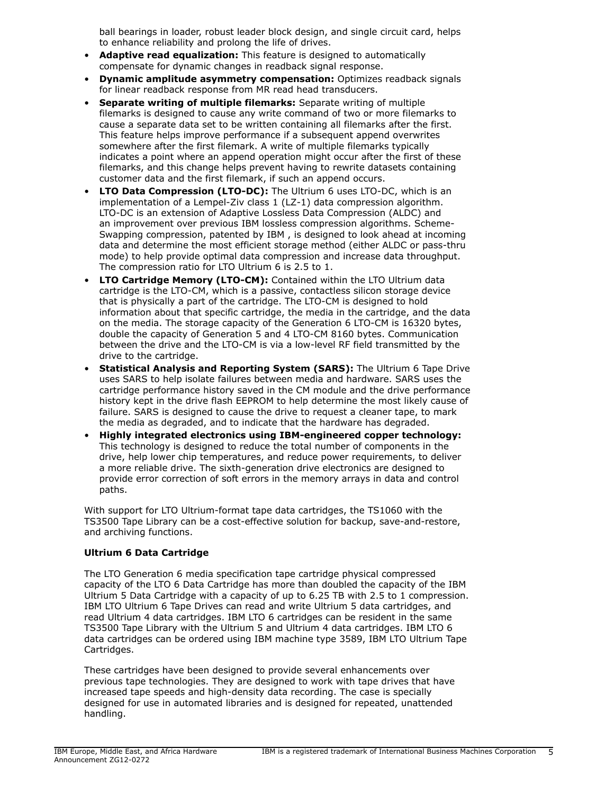ball bearings in loader, robust leader block design, and single circuit card, helps to enhance reliability and prolong the life of drives.

- **Adaptive read equalization:** This feature is designed to automatically compensate for dynamic changes in readback signal response.
- **Dynamic amplitude asymmetry compensation:** Optimizes readback signals for linear readback response from MR read head transducers.
- **Separate writing of multiple filemarks:** Separate writing of multiple filemarks is designed to cause any write command of two or more filemarks to cause a separate data set to be written containing all filemarks after the first. This feature helps improve performance if a subsequent append overwrites somewhere after the first filemark. A write of multiple filemarks typically indicates a point where an append operation might occur after the first of these filemarks, and this change helps prevent having to rewrite datasets containing customer data and the first filemark, if such an append occurs.
- **LTO Data Compression (LTO-DC):** The Ultrium 6 uses LTO-DC, which is an implementation of a Lempel-Ziv class 1 (LZ-1) data compression algorithm. LTO-DC is an extension of Adaptive Lossless Data Compression (ALDC) and an improvement over previous IBM lossless compression algorithms. Scheme-Swapping compression, patented by IBM , is designed to look ahead at incoming data and determine the most efficient storage method (either ALDC or pass-thru mode) to help provide optimal data compression and increase data throughput. The compression ratio for LTO Ultrium 6 is 2.5 to 1.
- **LTO Cartridge Memory (LTO-CM):** Contained within the LTO Ultrium data cartridge is the LTO-CM, which is a passive, contactless silicon storage device that is physically a part of the cartridge. The LTO-CM is designed to hold information about that specific cartridge, the media in the cartridge, and the data on the media. The storage capacity of the Generation 6 LTO-CM is 16320 bytes, double the capacity of Generation 5 and 4 LTO-CM 8160 bytes. Communication between the drive and the LTO-CM is via a low-level RF field transmitted by the drive to the cartridge.
- **Statistical Analysis and Reporting System (SARS):** The Ultrium 6 Tape Drive uses SARS to help isolate failures between media and hardware. SARS uses the cartridge performance history saved in the CM module and the drive performance history kept in the drive flash EEPROM to help determine the most likely cause of failure. SARS is designed to cause the drive to request a cleaner tape, to mark the media as degraded, and to indicate that the hardware has degraded.
- **Highly integrated electronics using IBM-engineered copper technology:** This technology is designed to reduce the total number of components in the drive, help lower chip temperatures, and reduce power requirements, to deliver a more reliable drive. The sixth-generation drive electronics are designed to provide error correction of soft errors in the memory arrays in data and control paths.

With support for LTO Ultrium-format tape data cartridges, the TS1060 with the TS3500 Tape Library can be a cost-effective solution for backup, save-and-restore, and archiving functions.

## **Ultrium 6 Data Cartridge**

The LTO Generation 6 media specification tape cartridge physical compressed capacity of the LTO 6 Data Cartridge has more than doubled the capacity of the IBM Ultrium 5 Data Cartridge with a capacity of up to 6.25 TB with 2.5 to 1 compression. IBM LTO Ultrium 6 Tape Drives can read and write Ultrium 5 data cartridges, and read Ultrium 4 data cartridges. IBM LTO 6 cartridges can be resident in the same TS3500 Tape Library with the Ultrium 5 and Ultrium 4 data cartridges. IBM LTO 6 data cartridges can be ordered using IBM machine type 3589, IBM LTO Ultrium Tape Cartridges.

These cartridges have been designed to provide several enhancements over previous tape technologies. They are designed to work with tape drives that have increased tape speeds and high-density data recording. The case is specially designed for use in automated libraries and is designed for repeated, unattended handling.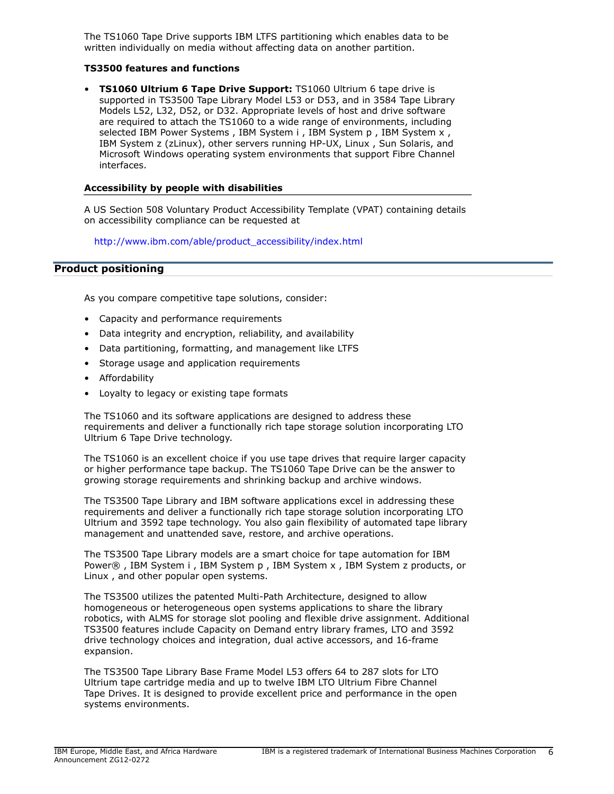The TS1060 Tape Drive supports IBM LTFS partitioning which enables data to be written individually on media without affecting data on another partition.

## **TS3500 features and functions**

• **TS1060 Ultrium 6 Tape Drive Support:** TS1060 Ultrium 6 tape drive is supported in TS3500 Tape Library Model L53 or D53, and in 3584 Tape Library Models L52, L32, D52, or D32. Appropriate levels of host and drive software are required to attach the TS1060 to a wide range of environments, including selected IBM Power Systems, IBM System i, IBM System p, IBM System x, IBM System z (zLinux), other servers running HP-UX, Linux , Sun Solaris, and Microsoft Windows operating system environments that support Fibre Channel interfaces.

#### **Accessibility by people with disabilities**

A US Section 508 Voluntary Product Accessibility Template (VPAT) containing details on accessibility compliance can be requested at

[http://www.ibm.com/able/product\\_accessibility/index.html](http://www.ibm.com/able/product_accessibility/index.html)

## <span id="page-5-0"></span>**Product positioning**

As you compare competitive tape solutions, consider:

- Capacity and performance requirements
- Data integrity and encryption, reliability, and availability
- Data partitioning, formatting, and management like LTFS
- Storage usage and application requirements
- Affordability
- Loyalty to legacy or existing tape formats

The TS1060 and its software applications are designed to address these requirements and deliver a functionally rich tape storage solution incorporating LTO Ultrium 6 Tape Drive technology.

The TS1060 is an excellent choice if you use tape drives that require larger capacity or higher performance tape backup. The TS1060 Tape Drive can be the answer to growing storage requirements and shrinking backup and archive windows.

The TS3500 Tape Library and IBM software applications excel in addressing these requirements and deliver a functionally rich tape storage solution incorporating LTO Ultrium and 3592 tape technology. You also gain flexibility of automated tape library management and unattended save, restore, and archive operations.

The TS3500 Tape Library models are a smart choice for tape automation for IBM Power® , IBM System i , IBM System p , IBM System x , IBM System z products, or Linux , and other popular open systems.

The TS3500 utilizes the patented Multi-Path Architecture, designed to allow homogeneous or heterogeneous open systems applications to share the library robotics, with ALMS for storage slot pooling and flexible drive assignment. Additional TS3500 features include Capacity on Demand entry library frames, LTO and 3592 drive technology choices and integration, dual active accessors, and 16-frame expansion.

The TS3500 Tape Library Base Frame Model L53 offers 64 to 287 slots for LTO Ultrium tape cartridge media and up to twelve IBM LTO Ultrium Fibre Channel Tape Drives. It is designed to provide excellent price and performance in the open systems environments.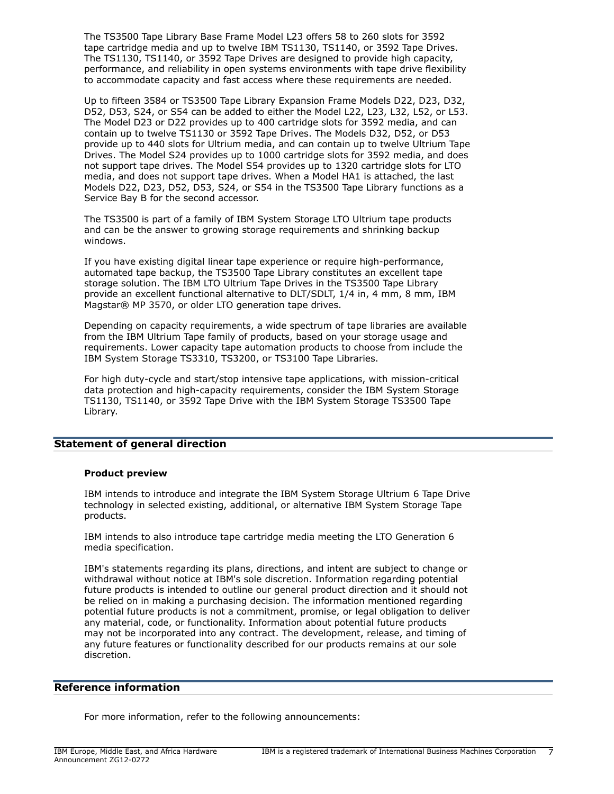The TS3500 Tape Library Base Frame Model L23 offers 58 to 260 slots for 3592 tape cartridge media and up to twelve IBM TS1130, TS1140, or 3592 Tape Drives. The TS1130, TS1140, or 3592 Tape Drives are designed to provide high capacity, performance, and reliability in open systems environments with tape drive flexibility to accommodate capacity and fast access where these requirements are needed.

Up to fifteen 3584 or TS3500 Tape Library Expansion Frame Models D22, D23, D32, D52, D53, S24, or S54 can be added to either the Model L22, L23, L32, L52, or L53. The Model D23 or D22 provides up to 400 cartridge slots for 3592 media, and can contain up to twelve TS1130 or 3592 Tape Drives. The Models D32, D52, or D53 provide up to 440 slots for Ultrium media, and can contain up to twelve Ultrium Tape Drives. The Model S24 provides up to 1000 cartridge slots for 3592 media, and does not support tape drives. The Model S54 provides up to 1320 cartridge slots for LTO media, and does not support tape drives. When a Model HA1 is attached, the last Models D22, D23, D52, D53, S24, or S54 in the TS3500 Tape Library functions as a Service Bay B for the second accessor.

The TS3500 is part of a family of IBM System Storage LTO Ultrium tape products and can be the answer to growing storage requirements and shrinking backup windows.

If you have existing digital linear tape experience or require high-performance, automated tape backup, the TS3500 Tape Library constitutes an excellent tape storage solution. The IBM LTO Ultrium Tape Drives in the TS3500 Tape Library provide an excellent functional alternative to DLT/SDLT, 1/4 in, 4 mm, 8 mm, IBM Magstar® MP 3570, or older LTO generation tape drives.

Depending on capacity requirements, a wide spectrum of tape libraries are available from the IBM Ultrium Tape family of products, based on your storage usage and requirements. Lower capacity tape automation products to choose from include the IBM System Storage TS3310, TS3200, or TS3100 Tape Libraries.

For high duty-cycle and start/stop intensive tape applications, with mission-critical data protection and high-capacity requirements, consider the IBM System Storage TS1130, TS1140, or 3592 Tape Drive with the IBM System Storage TS3500 Tape Library.

## <span id="page-6-0"></span>**Statement of general direction**

## **Product preview**

IBM intends to introduce and integrate the IBM System Storage Ultrium 6 Tape Drive technology in selected existing, additional, or alternative IBM System Storage Tape products.

IBM intends to also introduce tape cartridge media meeting the LTO Generation 6 media specification.

IBM's statements regarding its plans, directions, and intent are subject to change or withdrawal without notice at IBM's sole discretion. Information regarding potential future products is intended to outline our general product direction and it should not be relied on in making a purchasing decision. The information mentioned regarding potential future products is not a commitment, promise, or legal obligation to deliver any material, code, or functionality. Information about potential future products may not be incorporated into any contract. The development, release, and timing of any future features or functionality described for our products remains at our sole discretion.

## **Reference information**

For more information, refer to the following announcements: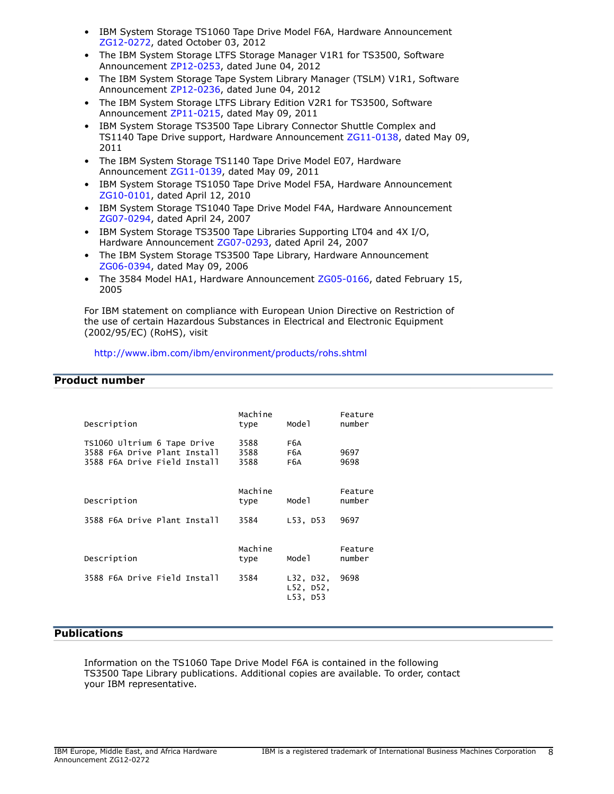- IBM System Storage TS1060 Tape Drive Model F6A, Hardware Announcement [ZG12-0272](http://www.ibm.com/common/ssi/cgi-bin/ssialias?infotype=an&subtype=ca&appname=gpateam&supplier=877&letternum=ENUSZG12-0272), dated October 03, 2012
- The IBM System Storage LTFS Storage Manager V1R1 for TS3500, Software Announcement [ZP12-0253,](http://www.ibm.com/common/ssi/cgi-bin/ssialias?infotype=an&subtype=ca&appname=gpateam&supplier=877&letternum=ENUSZP12-0253) dated June 04, 2012
- The IBM System Storage Tape System Library Manager (TSLM) V1R1, Software Announcement [ZP12-0236,](http://www.ibm.com/common/ssi/cgi-bin/ssialias?infotype=an&subtype=ca&appname=gpateam&supplier=877&letternum=ENUSZP12-0236) dated June 04, 2012
- The IBM System Storage LTFS Library Edition V2R1 for TS3500, Software Announcement [ZP11-0215,](http://www.ibm.com/common/ssi/cgi-bin/ssialias?infotype=an&subtype=ca&appname=gpateam&supplier=877&letternum=ENUSZP11-0215) dated May 09, 2011
- IBM System Storage TS3500 Tape Library Connector Shuttle Complex and TS1140 Tape Drive support, Hardware Announcement [ZG11-0138](http://www.ibm.com/common/ssi/cgi-bin/ssialias?infotype=an&subtype=ca&appname=gpateam&supplier=877&letternum=ENUSZG11-0138), dated May 09, 2011
- The IBM System Storage TS1140 Tape Drive Model E07, Hardware Announcement [ZG11-0139](http://www.ibm.com/common/ssi/cgi-bin/ssialias?infotype=an&subtype=ca&appname=gpateam&supplier=877&letternum=ENUSZG11-0139), dated May 09, 2011
- IBM System Storage TS1050 Tape Drive Model F5A, Hardware Announcement [ZG10-0101](http://www.ibm.com/common/ssi/cgi-bin/ssialias?infotype=an&subtype=ca&appname=gpateam&supplier=877&letternum=ENUSZG10-0101), dated April 12, 2010
- IBM System Storage TS1040 Tape Drive Model F4A, Hardware Announcement [ZG07-0294](http://www.ibm.com/common/ssi/cgi-bin/ssialias?infotype=an&subtype=ca&appname=gpateam&supplier=877&letternum=ENUSZG07-0294), dated April 24, 2007
- IBM System Storage TS3500 Tape Libraries Supporting LT04 and 4X I/O, Hardware Announcement [ZG07-0293,](http://www.ibm.com/common/ssi/cgi-bin/ssialias?infotype=an&subtype=ca&appname=gpateam&supplier=877&letternum=ENUSZG07-0293) dated April 24, 2007
- The IBM System Storage TS3500 Tape Library, Hardware Announcement [ZG06-0394](http://www.ibm.com/common/ssi/cgi-bin/ssialias?infotype=an&subtype=ca&appname=gpateam&supplier=877&letternum=ENUSZG06-0394), dated May 09, 2006
- The 3584 Model HA1, Hardware Announcement [ZG05-0166](http://www.ibm.com/common/ssi/cgi-bin/ssialias?infotype=an&subtype=ca&appname=gpateam&supplier=877&letternum=ENUSZG05-0166), dated February 15, 2005

For IBM statement on compliance with European Union Directive on Restriction of the use of certain Hazardous Substances in Electrical and Electronic Equipment (2002/95/EC) (RoHS), visit

# <http://www.ibm.com/ibm/environment/products/rohs.shtml>

# <span id="page-7-0"></span>**Product number**

| Description                                                                                 | Machine<br>type      | Mode1                              | Feature<br>number |
|---------------------------------------------------------------------------------------------|----------------------|------------------------------------|-------------------|
| TS1060 Ultrium 6 Tape Drive<br>3588 F6A Drive Plant Install<br>3588 F6A Drive Field Install | 3588<br>3588<br>3588 | F6A<br>F6A<br>F6A                  | 9697<br>9698      |
| Description                                                                                 | Machine<br>type      | Mode 1                             | Feature<br>number |
| 3588 F6A Drive Plant Install                                                                | 3584                 | $L53$ , D53                        | 9697              |
| Description                                                                                 | Machine<br>type      | Mode 1                             | Feature<br>number |
| 3588 F6A Drive Field Install                                                                | 3584                 | L32, D32,<br>L52, D52,<br>L53, D53 | 9698              |

# <span id="page-7-1"></span>**Publications**

Information on the TS1060 Tape Drive Model F6A is contained in the following TS3500 Tape Library publications. Additional copies are available. To order, contact your IBM representative.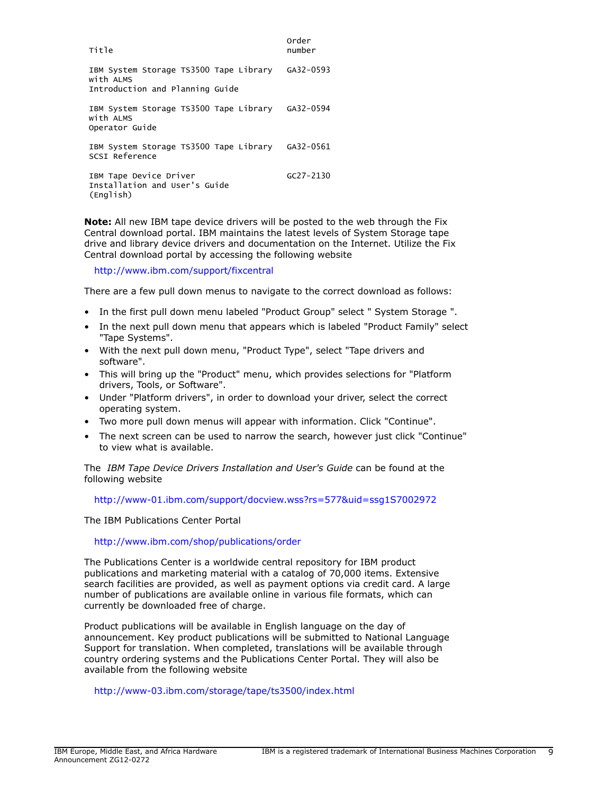| Title                                                                                  | Order<br>number |
|----------------------------------------------------------------------------------------|-----------------|
| IBM System Storage TS3500 Tape Library<br>with ALMS<br>Introduction and Planning Guide | GA32-0593       |
| IBM System Storage TS3500 Tape Library GA32-0594<br>with ALMS<br>Operator Guide        |                 |
| IBM System Storage TS3500 Tape Library GA32-0561<br>SCSI Reference                     |                 |
| IBM Tape Device Driver<br>Installation and User's Guide<br>(English)                   | $GC27 - 2130$   |

**Note:** All new IBM tape device drivers will be posted to the web through the Fix Central download portal. IBM maintains the latest levels of System Storage tape drive and library device drivers and documentation on the Internet. Utilize the Fix Central download portal by accessing the following website

<http://www.ibm.com/support/fixcentral>

There are a few pull down menus to navigate to the correct download as follows:

- In the first pull down menu labeled "Product Group" select " System Storage ".
- In the next pull down menu that appears which is labeled "Product Family" select "Tape Systems".
- With the next pull down menu, "Product Type", select "Tape drivers and software".
- This will bring up the "Product" menu, which provides selections for "Platform drivers, Tools, or Software".
- Under "Platform drivers", in order to download your driver, select the correct operating system.
- Two more pull down menus will appear with information. Click "Continue".
- The next screen can be used to narrow the search, however just click "Continue" to view what is available.

The *IBM Tape Device Drivers Installation and User's Guide* can be found at the following website

<http://www-01.ibm.com/support/docview.wss?rs=577&uid=ssg1S7002972>

The IBM Publications Center Portal

#### <http://www.ibm.com/shop/publications/order>

The Publications Center is a worldwide central repository for IBM product publications and marketing material with a catalog of 70,000 items. Extensive search facilities are provided, as well as payment options via credit card. A large number of publications are available online in various file formats, which can currently be downloaded free of charge.

Product publications will be available in English language on the day of announcement. Key product publications will be submitted to National Language Support for translation. When completed, translations will be available through country ordering systems and the Publications Center Portal. They will also be available from the following website

<http://www-03.ibm.com/storage/tape/ts3500/index.html>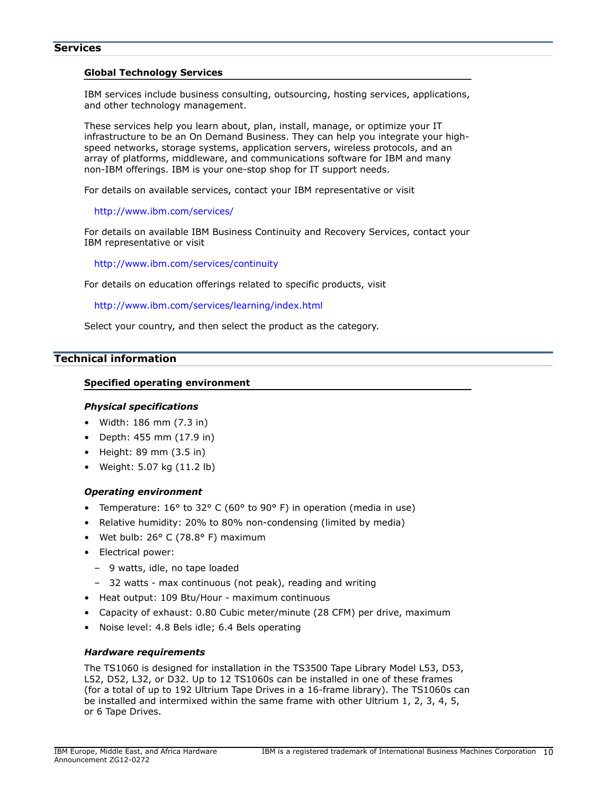#### **Services**

#### **Global Technology Services**

IBM services include business consulting, outsourcing, hosting services, applications, and other technology management.

These services help you learn about, plan, install, manage, or optimize your IT infrastructure to be an On Demand Business. They can help you integrate your highspeed networks, storage systems, application servers, wireless protocols, and an array of platforms, middleware, and communications software for IBM and many non-IBM offerings. IBM is your one-stop shop for IT support needs.

For details on available services, contact your IBM representative or visit

#### <http://www.ibm.com/services/>

For details on available IBM Business Continuity and Recovery Services, contact your IBM representative or visit

<http://www.ibm.com/services/continuity>

For details on education offerings related to specific products, visit

<http://www.ibm.com/services/learning/index.html>

Select your country, and then select the product as the category.

# <span id="page-9-0"></span>**Technical information**

## **Specified operating environment**

## *Physical specifications*

- Width: 186 mm (7.3 in)
- Depth: 455 mm (17.9 in)
- Height: 89 mm (3.5 in)
- Weight: 5.07 kg (11.2 lb)

## *Operating environment*

- Temperature: 16° to 32° C (60° to 90° F) in operation (media in use)
- Relative humidity: 20% to 80% non-condensing (limited by media)
- Wet bulb:  $26^{\circ}$  C (78.8° F) maximum
- Electrical power:
	- 9 watts, idle, no tape loaded
	- 32 watts max continuous (not peak), reading and writing
- Heat output: 109 Btu/Hour maximum continuous
- Capacity of exhaust: 0.80 Cubic meter/minute (28 CFM) per drive, maximum
- Noise level: 4.8 Bels idle; 6.4 Bels operating

## <span id="page-9-1"></span>*Hardware requirements*

The TS1060 is designed for installation in the TS3500 Tape Library Model L53, D53, L52, D52, L32, or D32. Up to 12 TS1060s can be installed in one of these frames (for a total of up to 192 Ultrium Tape Drives in a 16-frame library). The TS1060s can be installed and intermixed within the same frame with other Ultrium 1, 2, 3, 4, 5, or 6 Tape Drives.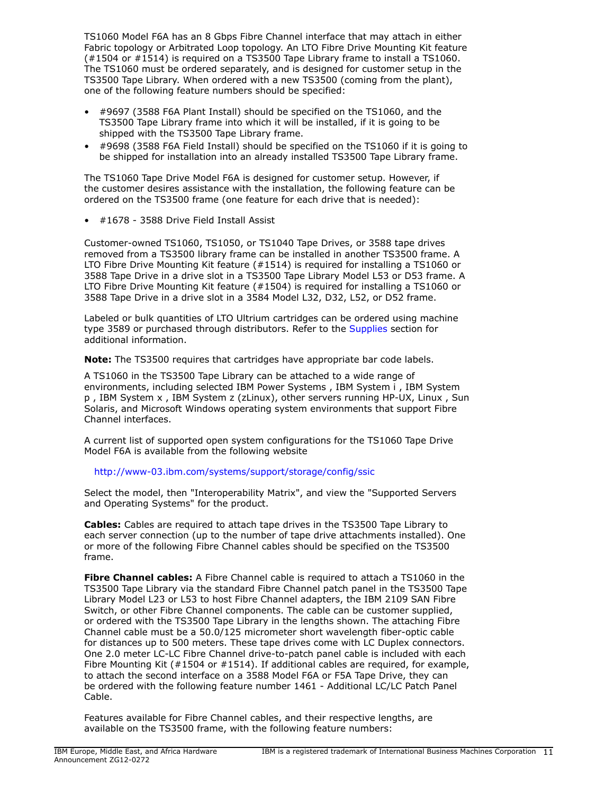TS1060 Model F6A has an 8 Gbps Fibre Channel interface that may attach in either Fabric topology or Arbitrated Loop topology. An LTO Fibre Drive Mounting Kit feature (#1504 or #1514) is required on a TS3500 Tape Library frame to install a TS1060. The TS1060 must be ordered separately, and is designed for customer setup in the TS3500 Tape Library. When ordered with a new TS3500 (coming from the plant), one of the following feature numbers should be specified:

- #9697 (3588 F6A Plant Install) should be specified on the TS1060, and the TS3500 Tape Library frame into which it will be installed, if it is going to be shipped with the TS3500 Tape Library frame.
- #9698 (3588 F6A Field Install) should be specified on the TS1060 if it is going to be shipped for installation into an already installed TS3500 Tape Library frame.

The TS1060 Tape Drive Model F6A is designed for customer setup. However, if the customer desires assistance with the installation, the following feature can be ordered on the TS3500 frame (one feature for each drive that is needed):

• #1678 - 3588 Drive Field Install Assist

Customer-owned TS1060, TS1050, or TS1040 Tape Drives, or 3588 tape drives removed from a TS3500 library frame can be installed in another TS3500 frame. A LTO Fibre Drive Mounting Kit feature (#1514) is required for installing a TS1060 or 3588 Tape Drive in a drive slot in a TS3500 Tape Library Model L53 or D53 frame. A LTO Fibre Drive Mounting Kit feature (#1504) is required for installing a TS1060 or 3588 Tape Drive in a drive slot in a 3584 Model L32, D32, L52, or D52 frame.

Labeled or bulk quantities of LTO Ultrium cartridges can be ordered using machine type 3589 or purchased through distributors. Refer to the [Supplies](#page-14-0) section for additional information.

**Note:** The TS3500 requires that cartridges have appropriate bar code labels.

A TS1060 in the TS3500 Tape Library can be attached to a wide range of environments, including selected IBM Power Systems , IBM System i , IBM System p , IBM System x , IBM System z (zLinux), other servers running HP-UX, Linux , Sun Solaris, and Microsoft Windows operating system environments that support Fibre Channel interfaces.

A current list of supported open system configurations for the TS1060 Tape Drive Model F6A is available from the following website

<http://www-03.ibm.com/systems/support/storage/config/ssic>

Select the model, then "Interoperability Matrix", and view the "Supported Servers and Operating Systems" for the product.

**Cables:** Cables are required to attach tape drives in the TS3500 Tape Library to each server connection (up to the number of tape drive attachments installed). One or more of the following Fibre Channel cables should be specified on the TS3500 frame.

**Fibre Channel cables:** A Fibre Channel cable is required to attach a TS1060 in the TS3500 Tape Library via the standard Fibre Channel patch panel in the TS3500 Tape Library Model L23 or L53 to host Fibre Channel adapters, the IBM 2109 SAN Fibre Switch, or other Fibre Channel components. The cable can be customer supplied, or ordered with the TS3500 Tape Library in the lengths shown. The attaching Fibre Channel cable must be a 50.0/125 micrometer short wavelength fiber-optic cable for distances up to 500 meters. These tape drives come with LC Duplex connectors. One 2.0 meter LC-LC Fibre Channel drive-to-patch panel cable is included with each Fibre Mounting Kit (#1504 or #1514). If additional cables are required, for example, to attach the second interface on a 3588 Model F6A or F5A Tape Drive, they can be ordered with the following feature number 1461 - Additional LC/LC Patch Panel Cable.

Features available for Fibre Channel cables, and their respective lengths, are available on the TS3500 frame, with the following feature numbers: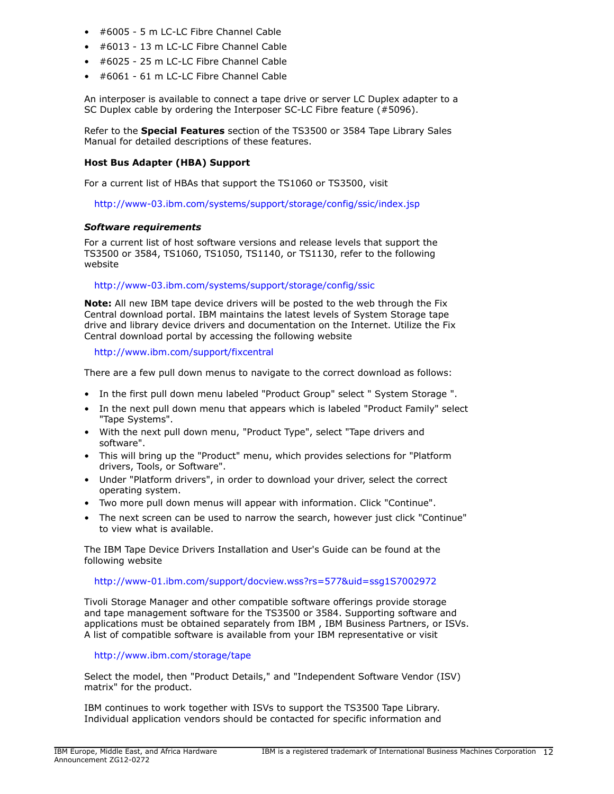- #6005 5 m LC-LC Fibre Channel Cable
- #6013 13 m LC-LC Fibre Channel Cable
- #6025 25 m LC-LC Fibre Channel Cable
- #6061 61 m LC-LC Fibre Channel Cable

An interposer is available to connect a tape drive or server LC Duplex adapter to a SC Duplex cable by ordering the Interposer SC-LC Fibre feature (#5096).

Refer to the **Special Features** section of the TS3500 or 3584 Tape Library Sales Manual for detailed descriptions of these features.

## **Host Bus Adapter (HBA) Support**

For a current list of HBAs that support the TS1060 or TS3500, visit

<http://www-03.ibm.com/systems/support/storage/config/ssic/index.jsp>

#### *Software requirements*

For a current list of host software versions and release levels that support the TS3500 or 3584, TS1060, TS1050, TS1140, or TS1130, refer to the following website

#### <http://www-03.ibm.com/systems/support/storage/config/ssic>

**Note:** All new IBM tape device drivers will be posted to the web through the Fix Central download portal. IBM maintains the latest levels of System Storage tape drive and library device drivers and documentation on the Internet. Utilize the Fix Central download portal by accessing the following website

<http://www.ibm.com/support/fixcentral>

There are a few pull down menus to navigate to the correct download as follows:

- In the first pull down menu labeled "Product Group" select " System Storage ".
- In the next pull down menu that appears which is labeled "Product Family" select "Tape Systems".
- With the next pull down menu, "Product Type", select "Tape drivers and software".
- This will bring up the "Product" menu, which provides selections for "Platform drivers, Tools, or Software".
- Under "Platform drivers", in order to download your driver, select the correct operating system.
- Two more pull down menus will appear with information. Click "Continue".
- The next screen can be used to narrow the search, however just click "Continue" to view what is available.

The IBM Tape Device Drivers Installation and User's Guide can be found at the following website

#### <http://www-01.ibm.com/support/docview.wss?rs=577&uid=ssg1S7002972>

Tivoli Storage Manager and other compatible software offerings provide storage and tape management software for the TS3500 or 3584. Supporting software and applications must be obtained separately from IBM , IBM Business Partners, or ISVs. A list of compatible software is available from your IBM representative or visit

## <http://www.ibm.com/storage/tape>

Select the model, then "Product Details," and "Independent Software Vendor (ISV) matrix" for the product.

IBM continues to work together with ISVs to support the TS3500 Tape Library. Individual application vendors should be contacted for specific information and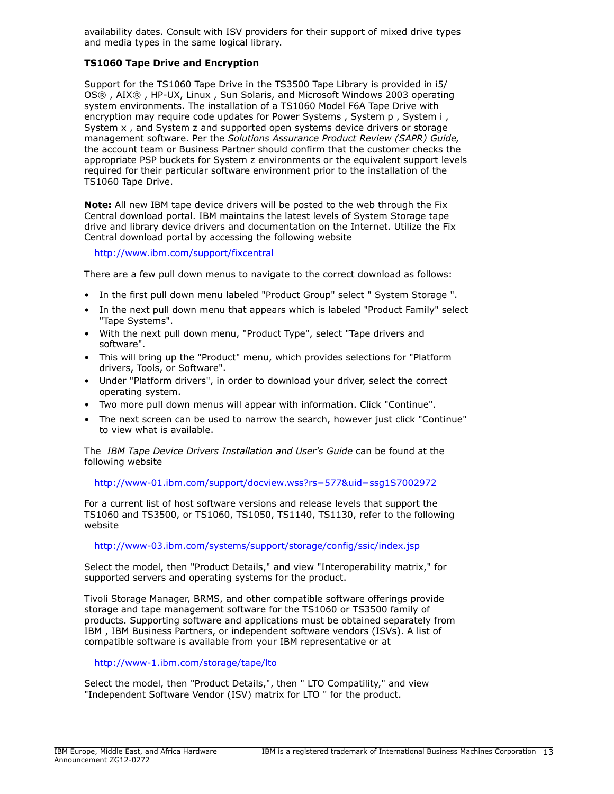availability dates. Consult with ISV providers for their support of mixed drive types and media types in the same logical library.

## **TS1060 Tape Drive and Encryption**

Support for the TS1060 Tape Drive in the TS3500 Tape Library is provided in i5/ OS® , AIX® , HP-UX, Linux , Sun Solaris, and Microsoft Windows 2003 operating system environments. The installation of a TS1060 Model F6A Tape Drive with encryption may require code updates for Power Systems , System p, System i, System x , and System z and supported open systems device drivers or storage management software. Per the *Solutions Assurance Product Review (SAPR) Guide,* the account team or Business Partner should confirm that the customer checks the appropriate PSP buckets for System z environments or the equivalent support levels required for their particular software environment prior to the installation of the TS1060 Tape Drive.

**Note:** All new IBM tape device drivers will be posted to the web through the Fix Central download portal. IBM maintains the latest levels of System Storage tape drive and library device drivers and documentation on the Internet. Utilize the Fix Central download portal by accessing the following website

<http://www.ibm.com/support/fixcentral>

There are a few pull down menus to navigate to the correct download as follows:

- In the first pull down menu labeled "Product Group" select " System Storage ".
- In the next pull down menu that appears which is labeled "Product Family" select "Tape Systems".
- With the next pull down menu, "Product Type", select "Tape drivers and software".
- This will bring up the "Product" menu, which provides selections for "Platform drivers, Tools, or Software".
- Under "Platform drivers", in order to download your driver, select the correct operating system.
- Two more pull down menus will appear with information. Click "Continue".
- The next screen can be used to narrow the search, however just click "Continue" to view what is available.

The *IBM Tape Device Drivers Installation and User's Guide* can be found at the following website

## <http://www-01.ibm.com/support/docview.wss?rs=577&uid=ssg1S7002972>

For a current list of host software versions and release levels that support the TS1060 and TS3500, or TS1060, TS1050, TS1140, TS1130, refer to the following website

## <http://www-03.ibm.com/systems/support/storage/config/ssic/index.jsp>

Select the model, then "Product Details," and view "Interoperability matrix," for supported servers and operating systems for the product.

Tivoli Storage Manager, BRMS, and other compatible software offerings provide storage and tape management software for the TS1060 or TS3500 family of products. Supporting software and applications must be obtained separately from IBM , IBM Business Partners, or independent software vendors (ISVs). A list of compatible software is available from your IBM representative or at

#### <http://www-1.ibm.com/storage/tape/lto>

Select the model, then "Product Details,", then " LTO Compatility," and view "Independent Software Vendor (ISV) matrix for LTO " for the product.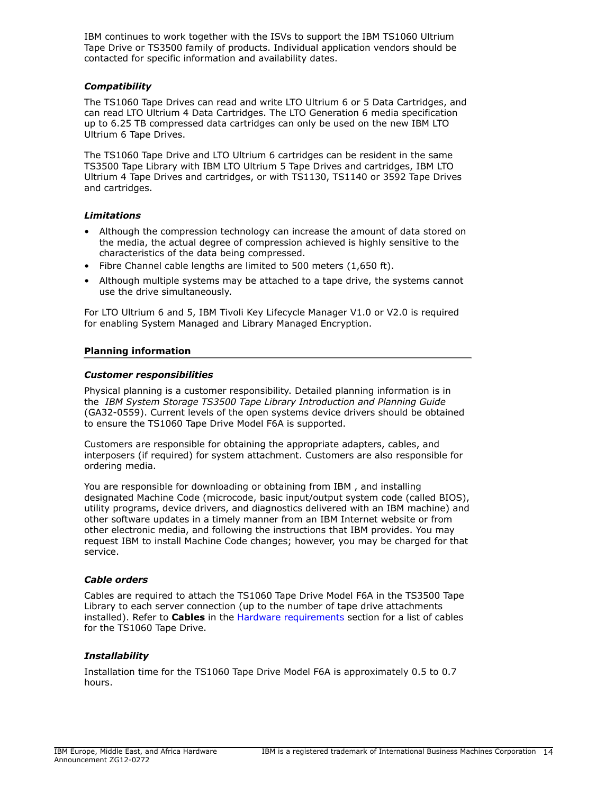IBM continues to work together with the ISVs to support the IBM TS1060 Ultrium Tape Drive or TS3500 family of products. Individual application vendors should be contacted for specific information and availability dates.

## *Compatibility*

The TS1060 Tape Drives can read and write LTO Ultrium 6 or 5 Data Cartridges, and can read LTO Ultrium 4 Data Cartridges. The LTO Generation 6 media specification up to 6.25 TB compressed data cartridges can only be used on the new IBM LTO Ultrium 6 Tape Drives.

The TS1060 Tape Drive and LTO Ultrium 6 cartridges can be resident in the same TS3500 Tape Library with IBM LTO Ultrium 5 Tape Drives and cartridges, IBM LTO Ultrium 4 Tape Drives and cartridges, or with TS1130, TS1140 or 3592 Tape Drives and cartridges.

# *Limitations*

- Although the compression technology can increase the amount of data stored on the media, the actual degree of compression achieved is highly sensitive to the characteristics of the data being compressed.
- Fibre Channel cable lengths are limited to 500 meters (1,650 ft).
- Although multiple systems may be attached to a tape drive, the systems cannot use the drive simultaneously.

For LTO Ultrium 6 and 5, IBM Tivoli Key Lifecycle Manager V1.0 or V2.0 is required for enabling System Managed and Library Managed Encryption.

# **Planning information**

# *Customer responsibilities*

Physical planning is a customer responsibility. Detailed planning information is in the *IBM System Storage TS3500 Tape Library Introduction and Planning Guide* (GA32-0559). Current levels of the open systems device drivers should be obtained to ensure the TS1060 Tape Drive Model F6A is supported.

Customers are responsible for obtaining the appropriate adapters, cables, and interposers (if required) for system attachment. Customers are also responsible for ordering media.

You are responsible for downloading or obtaining from IBM , and installing designated Machine Code (microcode, basic input/output system code (called BIOS), utility programs, device drivers, and diagnostics delivered with an IBM machine) and other software updates in a timely manner from an IBM Internet website or from other electronic media, and following the instructions that IBM provides. You may request IBM to install Machine Code changes; however, you may be charged for that service.

## *Cable orders*

Cables are required to attach the TS1060 Tape Drive Model F6A in the TS3500 Tape Library to each server connection (up to the number of tape drive attachments installed). Refer to **Cables** in the [Hardware requirements](#page-9-1) section for a list of cables for the TS1060 Tape Drive.

# *Installability*

Installation time for the TS1060 Tape Drive Model F6A is approximately 0.5 to 0.7 hours.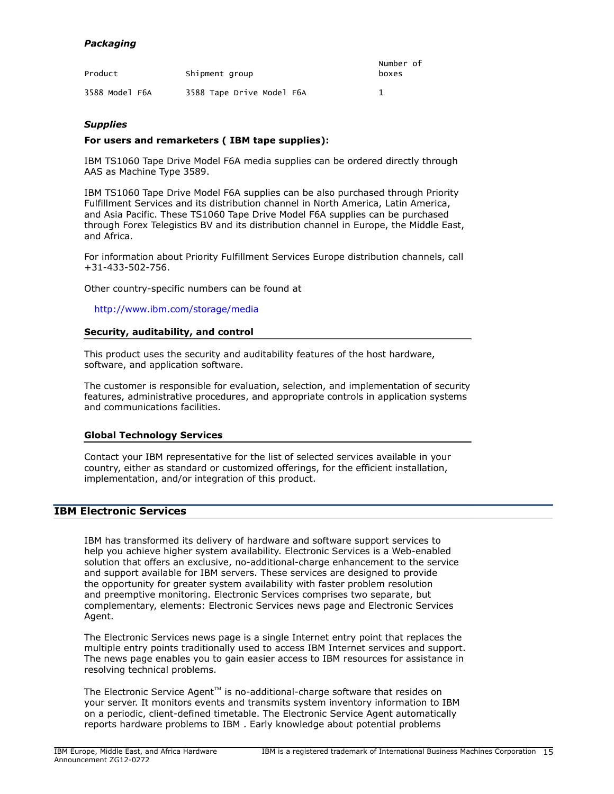# *Packaging*

| Product        | Shipment group            | Number of<br>boxes |
|----------------|---------------------------|--------------------|
| 3588 Model F6A | 3588 Tape Drive Model F6A |                    |

## <span id="page-14-0"></span>*Supplies*

## **For users and remarketers ( IBM tape supplies):**

IBM TS1060 Tape Drive Model F6A media supplies can be ordered directly through AAS as Machine Type 3589.

IBM TS1060 Tape Drive Model F6A supplies can be also purchased through Priority Fulfillment Services and its distribution channel in North America, Latin America, and Asia Pacific. These TS1060 Tape Drive Model F6A supplies can be purchased through Forex Telegistics BV and its distribution channel in Europe, the Middle East, and Africa.

For information about Priority Fulfillment Services Europe distribution channels, call +31-433-502-756.

Other country-specific numbers can be found at

<http://www.ibm.com/storage/media>

#### **Security, auditability, and control**

This product uses the security and auditability features of the host hardware, software, and application software.

The customer is responsible for evaluation, selection, and implementation of security features, administrative procedures, and appropriate controls in application systems and communications facilities.

## **Global Technology Services**

Contact your IBM representative for the list of selected services available in your country, either as standard or customized offerings, for the efficient installation, implementation, and/or integration of this product.

## **IBM Electronic Services**

IBM has transformed its delivery of hardware and software support services to help you achieve higher system availability. Electronic Services is a Web-enabled solution that offers an exclusive, no-additional-charge enhancement to the service and support available for IBM servers. These services are designed to provide the opportunity for greater system availability with faster problem resolution and preemptive monitoring. Electronic Services comprises two separate, but complementary, elements: Electronic Services news page and Electronic Services Agent.

The Electronic Services news page is a single Internet entry point that replaces the multiple entry points traditionally used to access IBM Internet services and support. The news page enables you to gain easier access to IBM resources for assistance in resolving technical problems.

The Electronic Service Agent $T^M$  is no-additional-charge software that resides on your server. It monitors events and transmits system inventory information to IBM on a periodic, client-defined timetable. The Electronic Service Agent automatically reports hardware problems to IBM . Early knowledge about potential problems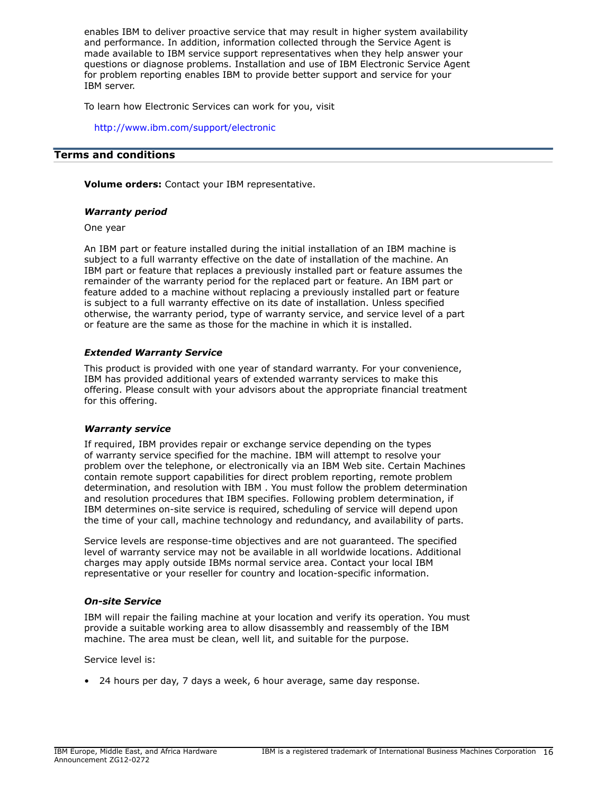enables IBM to deliver proactive service that may result in higher system availability and performance. In addition, information collected through the Service Agent is made available to IBM service support representatives when they help answer your questions or diagnose problems. Installation and use of IBM Electronic Service Agent for problem reporting enables IBM to provide better support and service for your IBM server.

To learn how Electronic Services can work for you, visit

<http://www.ibm.com/support/electronic>

# <span id="page-15-0"></span>**Terms and conditions**

**Volume orders:** Contact your IBM representative.

## *Warranty period*

One year

An IBM part or feature installed during the initial installation of an IBM machine is subject to a full warranty effective on the date of installation of the machine. An IBM part or feature that replaces a previously installed part or feature assumes the remainder of the warranty period for the replaced part or feature. An IBM part or feature added to a machine without replacing a previously installed part or feature is subject to a full warranty effective on its date of installation. Unless specified otherwise, the warranty period, type of warranty service, and service level of a part or feature are the same as those for the machine in which it is installed.

## *Extended Warranty Service*

This product is provided with one year of standard warranty. For your convenience, IBM has provided additional years of extended warranty services to make this offering. Please consult with your advisors about the appropriate financial treatment for this offering.

#### *Warranty service*

If required, IBM provides repair or exchange service depending on the types of warranty service specified for the machine. IBM will attempt to resolve your problem over the telephone, or electronically via an IBM Web site. Certain Machines contain remote support capabilities for direct problem reporting, remote problem determination, and resolution with IBM . You must follow the problem determination and resolution procedures that IBM specifies. Following problem determination, if IBM determines on-site service is required, scheduling of service will depend upon the time of your call, machine technology and redundancy, and availability of parts.

Service levels are response-time objectives and are not guaranteed. The specified level of warranty service may not be available in all worldwide locations. Additional charges may apply outside IBMs normal service area. Contact your local IBM representative or your reseller for country and location-specific information.

## *On-site Service*

IBM will repair the failing machine at your location and verify its operation. You must provide a suitable working area to allow disassembly and reassembly of the IBM machine. The area must be clean, well lit, and suitable for the purpose.

Service level is:

• 24 hours per day, 7 days a week, 6 hour average, same day response.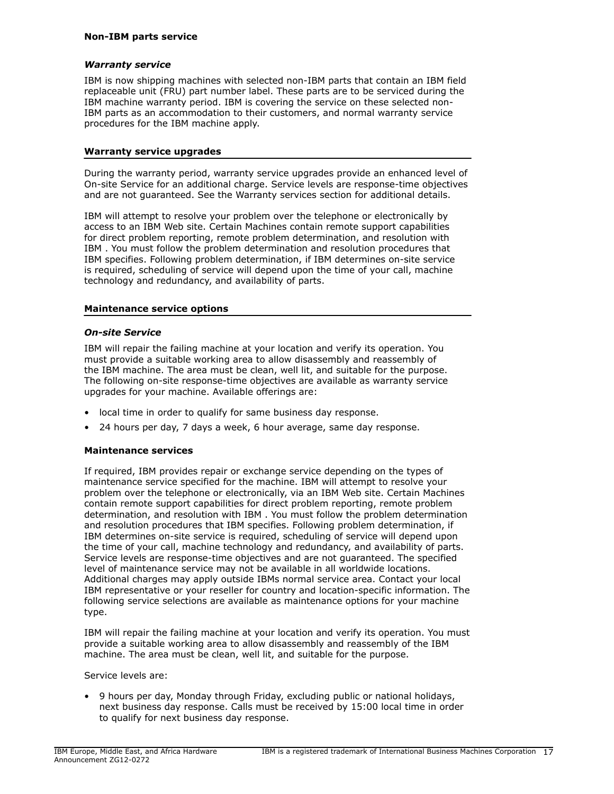## *Warranty service*

IBM is now shipping machines with selected non-IBM parts that contain an IBM field replaceable unit (FRU) part number label. These parts are to be serviced during the IBM machine warranty period. IBM is covering the service on these selected non-IBM parts as an accommodation to their customers, and normal warranty service procedures for the IBM machine apply.

#### **Warranty service upgrades**

During the warranty period, warranty service upgrades provide an enhanced level of On-site Service for an additional charge. Service levels are response-time objectives and are not guaranteed. See the Warranty services section for additional details.

IBM will attempt to resolve your problem over the telephone or electronically by access to an IBM Web site. Certain Machines contain remote support capabilities for direct problem reporting, remote problem determination, and resolution with IBM . You must follow the problem determination and resolution procedures that IBM specifies. Following problem determination, if IBM determines on-site service is required, scheduling of service will depend upon the time of your call, machine technology and redundancy, and availability of parts.

#### **Maintenance service options**

#### *On-site Service*

IBM will repair the failing machine at your location and verify its operation. You must provide a suitable working area to allow disassembly and reassembly of the IBM machine. The area must be clean, well lit, and suitable for the purpose. The following on-site response-time objectives are available as warranty service upgrades for your machine. Available offerings are:

- local time in order to qualify for same business day response.
- 24 hours per day, 7 days a week, 6 hour average, same day response.

## **Maintenance services**

If required, IBM provides repair or exchange service depending on the types of maintenance service specified for the machine. IBM will attempt to resolve your problem over the telephone or electronically, via an IBM Web site. Certain Machines contain remote support capabilities for direct problem reporting, remote problem determination, and resolution with IBM . You must follow the problem determination and resolution procedures that IBM specifies. Following problem determination, if IBM determines on-site service is required, scheduling of service will depend upon the time of your call, machine technology and redundancy, and availability of parts. Service levels are response-time objectives and are not guaranteed. The specified level of maintenance service may not be available in all worldwide locations. Additional charges may apply outside IBMs normal service area. Contact your local IBM representative or your reseller for country and location-specific information. The following service selections are available as maintenance options for your machine type.

IBM will repair the failing machine at your location and verify its operation. You must provide a suitable working area to allow disassembly and reassembly of the IBM machine. The area must be clean, well lit, and suitable for the purpose.

Service levels are:

• 9 hours per day, Monday through Friday, excluding public or national holidays, next business day response. Calls must be received by 15:00 local time in order to qualify for next business day response.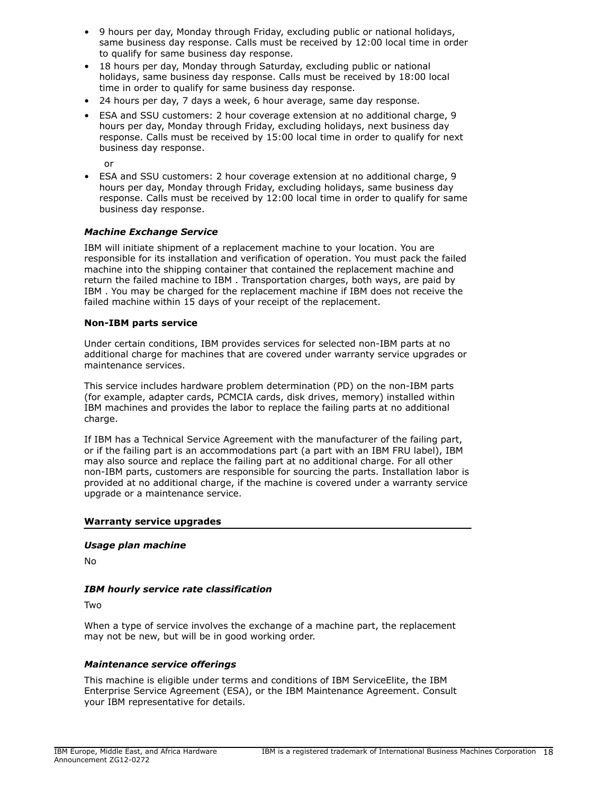- 9 hours per day, Monday through Friday, excluding public or national holidays, same business day response. Calls must be received by 12:00 local time in order to qualify for same business day response.
- 18 hours per day, Monday through Saturday, excluding public or national holidays, same business day response. Calls must be received by 18:00 local time in order to qualify for same business day response.
- 24 hours per day, 7 days a week, 6 hour average, same day response.
- ESA and SSU customers: 2 hour coverage extension at no additional charge, 9 hours per day, Monday through Friday, excluding holidays, next business day response. Calls must be received by 15:00 local time in order to qualify for next business day response.

or

• ESA and SSU customers: 2 hour coverage extension at no additional charge, 9 hours per day, Monday through Friday, excluding holidays, same business day response. Calls must be received by 12:00 local time in order to qualify for same business day response.

# *Machine Exchange Service*

IBM will initiate shipment of a replacement machine to your location. You are responsible for its installation and verification of operation. You must pack the failed machine into the shipping container that contained the replacement machine and return the failed machine to IBM . Transportation charges, both ways, are paid by IBM . You may be charged for the replacement machine if IBM does not receive the failed machine within 15 days of your receipt of the replacement.

## **Non-IBM parts service**

Under certain conditions, IBM provides services for selected non-IBM parts at no additional charge for machines that are covered under warranty service upgrades or maintenance services.

This service includes hardware problem determination (PD) on the non-IBM parts (for example, adapter cards, PCMCIA cards, disk drives, memory) installed within IBM machines and provides the labor to replace the failing parts at no additional charge.

If IBM has a Technical Service Agreement with the manufacturer of the failing part, or if the failing part is an accommodations part (a part with an IBM FRU label), IBM may also source and replace the failing part at no additional charge. For all other non-IBM parts, customers are responsible for sourcing the parts. Installation labor is provided at no additional charge, if the machine is covered under a warranty service upgrade or a maintenance service.

#### **Warranty service upgrades**

## *Usage plan machine*

No

## *IBM hourly service rate classification*

Two

When a type of service involves the exchange of a machine part, the replacement may not be new, but will be in good working order.

## *Maintenance service offerings*

This machine is eligible under terms and conditions of IBM ServiceElite, the IBM Enterprise Service Agreement (ESA), or the IBM Maintenance Agreement. Consult your IBM representative for details.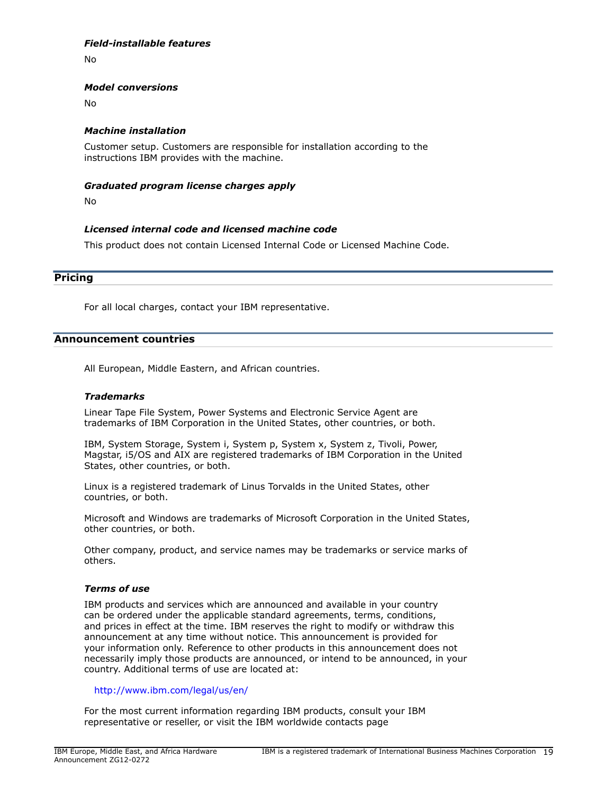# *Field-installable features*

No

#### *Model conversions*

No

#### *Machine installation*

Customer setup. Customers are responsible for installation according to the instructions IBM provides with the machine.

#### *Graduated program license charges apply*

No

## *Licensed internal code and licensed machine code*

This product does not contain Licensed Internal Code or Licensed Machine Code.

#### <span id="page-18-0"></span>**Pricing**

For all local charges, contact your IBM representative.

#### <span id="page-18-1"></span>**Announcement countries**

All European, Middle Eastern, and African countries.

#### *Trademarks*

Linear Tape File System, Power Systems and Electronic Service Agent are trademarks of IBM Corporation in the United States, other countries, or both.

IBM, System Storage, System i, System p, System x, System z, Tivoli, Power, Magstar, i5/OS and AIX are registered trademarks of IBM Corporation in the United States, other countries, or both.

Linux is a registered trademark of Linus Torvalds in the United States, other countries, or both.

Microsoft and Windows are trademarks of Microsoft Corporation in the United States, other countries, or both.

Other company, product, and service names may be trademarks or service marks of others.

## *Terms of use*

IBM products and services which are announced and available in your country can be ordered under the applicable standard agreements, terms, conditions, and prices in effect at the time. IBM reserves the right to modify or withdraw this announcement at any time without notice. This announcement is provided for your information only. Reference to other products in this announcement does not necessarily imply those products are announced, or intend to be announced, in your country. Additional terms of use are located at:

## <http://www.ibm.com/legal/us/en/>

For the most current information regarding IBM products, consult your IBM representative or reseller, or visit the IBM worldwide contacts page